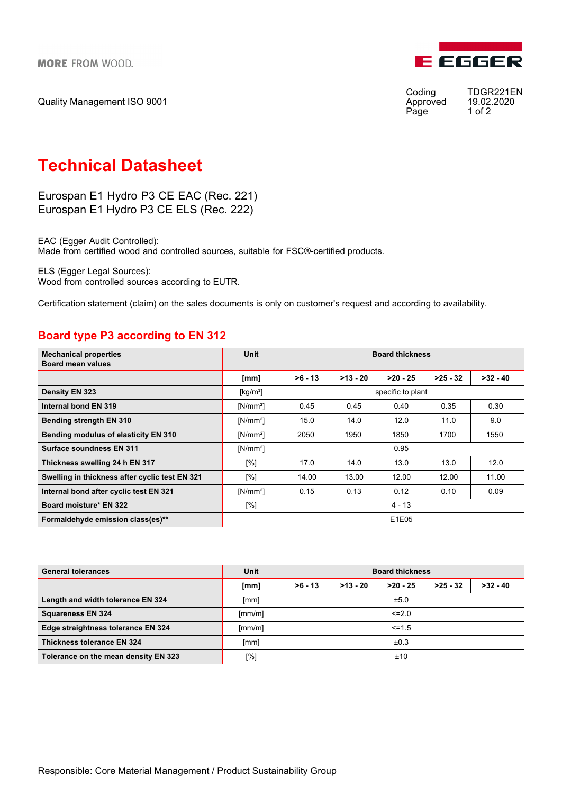Quality Management ISO 9001



Approved 19.02.<br>Page 1 of 2 Page

Coding TDGR221EN<br>Approved 19.02.2020

## Technical Datasheet

Eurospan E1 Hydro P3 CE EAC (Rec. 221) Eurospan E1 Hydro P3 CE ELS (Rec. 222)

EAC (Egger Audit Controlled): Made from certified wood and controlled sources, suitable for FSC®-certified products.

ELS (Egger Legal Sources): Wood from controlled sources according to EUTR.

Certification statement (claim) on the sales documents is only on customer's request and according to availability.

## Board type P3 according to EN 312

| <b>Mechanical properties</b><br><b>Board mean values</b> | Unit        | <b>Board thickness</b> |            |            |            |            |  |
|----------------------------------------------------------|-------------|------------------------|------------|------------|------------|------------|--|
|                                                          | [mm]        | $>6 - 13$              | $>13 - 20$ | $>20 - 25$ | $>25 - 32$ | $>32 - 40$ |  |
| Density EN 323                                           | [ $kg/m3$ ] | specific to plant      |            |            |            |            |  |
| Internal bond EN 319                                     | $[N/mm^2]$  | 0.45                   | 0.45       | 0.40       | 0.35       | 0.30       |  |
| <b>Bending strength EN 310</b>                           | $[N/mm^2]$  | 15.0                   | 14.0       | 12.0       | 11.0       | 9.0        |  |
| <b>Bending modulus of elasticity EN 310</b>              | $[N/mm^2]$  | 2050                   | 1950       | 1850       | 1700       | 1550       |  |
| Surface soundness EN 311                                 | $[N/mm^2]$  | 0.95                   |            |            |            |            |  |
| Thickness swelling 24 h EN 317                           | [%]         | 17.0                   | 14.0       | 13.0       | 13.0       | 12.0       |  |
| Swelling in thickness after cyclic test EN 321           | [%]         | 14.00                  | 13.00      | 12.00      | 12.00      | 11.00      |  |
| Internal bond after cyclic test EN 321                   | $[N/mm^2]$  | 0.15                   | 0.13       | 0.12       | 0.10       | 0.09       |  |
| Board moisture* EN 322                                   | [%]         | $4 - 13$               |            |            |            |            |  |
| Formaldehyde emission class(es)**                        |             | E1E05                  |            |            |            |            |  |

| <b>General tolerances</b>            | Unit   | <b>Board thickness</b> |            |            |            |            |  |
|--------------------------------------|--------|------------------------|------------|------------|------------|------------|--|
|                                      | [mm]   | $>6 - 13$              | $>13 - 20$ | $>20 - 25$ | $>25 - 32$ | $>32 - 40$ |  |
| Length and width tolerance EN 324    | [mm]   | ±5.0                   |            |            |            |            |  |
| <b>Squareness EN 324</b>             | [mm/m] | $\leq$ 2.0             |            |            |            |            |  |
| Edge straightness tolerance EN 324   | [mm/m] | $\leq$ = 1.5           |            |            |            |            |  |
| <b>Thickness tolerance EN 324</b>    | [mm]   | ±0.3                   |            |            |            |            |  |
| Tolerance on the mean density EN 323 | [%]    | ±10                    |            |            |            |            |  |